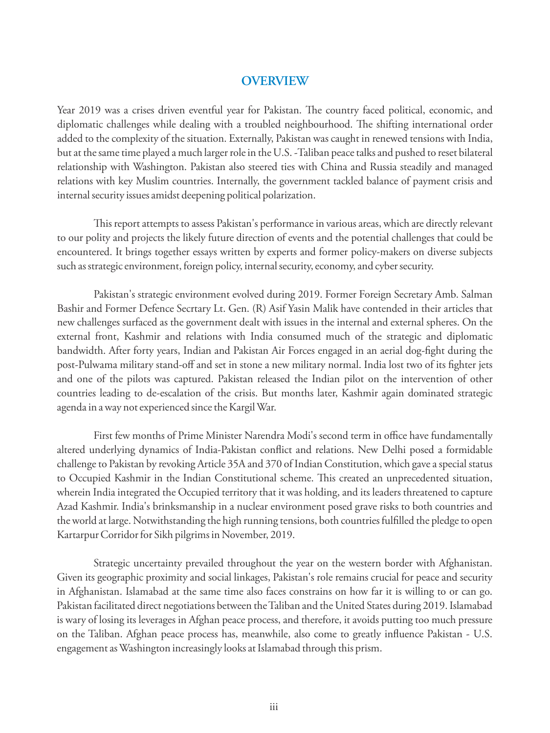## **OVERVIEW**

Year 2019 was a crises driven eventful year for Pakistan. The country faced political, economic, and diplomatic challenges while dealing with a troubled neighbourhood. The shifting international order added to the complexity of the situation. Externally, Pakistan was caught in renewed tensions with India, but at the same time played a much larger role in the U.S. -Taliban peace talks and pushed to reset bilateral relationship with Washington. Pakistan also steered ties with China and Russia steadily and managed relations with key Muslim countries. Internally, the government tackled balance of payment crisis and internal security issues amidst deepening political polarization.

This report attempts to assess Pakistan's performance in various areas, which are directly relevant to our polity and projects the likely future direction of events and the potential challenges that could be encountered. It brings together essays written by experts and former policy-makers on diverse subjects such as strategic environment, foreign policy, internal security, economy, and cyber security.

Pakistan's strategic environment evolved during 2019. Former Foreign Secretary Amb. Salman Bashir and Former Defence Secrtary Lt. Gen. (R) Asif Yasin Malik have contended in their articles that new challenges surfaced as the government dealt with issues in the internal and external spheres. On the external front, Kashmir and relations with India consumed much of the strategic and diplomatic bandwidth. After forty years, Indian and Pakistan Air Forces engaged in an aerial dog-fight during the post-Pulwama military stand-off and set in stone a new military normal. India lost two of its fighter jets and one of the pilots was captured. Pakistan released the Indian pilot on the intervention of other countries leading to de-escalation of the crisis. But months later, Kashmir again dominated strategic agenda in a way not experienced since the Kargil War.

First few months of Prime Minister Narendra Modi's second term in office have fundamentally altered underlying dynamics of India-Pakistan conflict and relations. New Delhi posed a formidable challenge to Pakistan by revoking Article 35A and 370 of Indian Constitution, which gave a special status to Occupied Kashmir in the Indian Constitutional scheme. This created an unprecedented situation, wherein India integrated the Occupied territory that it was holding, and its leaders threatened to capture Azad Kashmir. India's brinksmanship in a nuclear environment posed grave risks to both countries and the world at large. Notwithstanding the high running tensions, both countries fullled the pledge to open Kartarpur Corridor for Sikh pilgrims in November, 2019.

Strategic uncertainty prevailed throughout the year on the western border with Afghanistan. Given its geographic proximity and social linkages, Pakistan's role remains crucial for peace and security in Afghanistan. Islamabad at the same time also faces constrains on how far it is willing to or can go. Pakistan facilitated direct negotiations between the Taliban and the United States during 2019. Islamabad is wary of losing its leverages in Afghan peace process, and therefore, it avoids putting too much pressure on the Taliban. Afghan peace process has, meanwhile, also come to greatly influence Pakistan - U.S. engagement as Washington increasingly looks at Islamabad through this prism.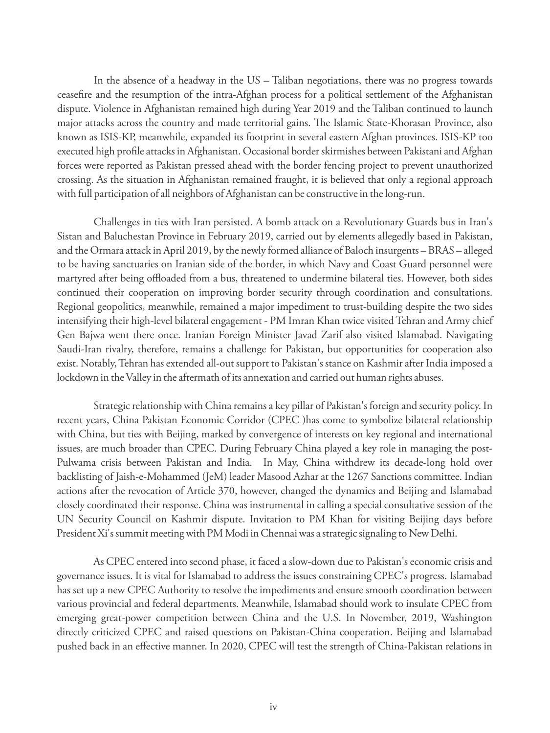In the absence of a headway in the US – Taliban negotiations, there was no progress towards ceasefire and the resumption of the intra-Afghan process for a political settlement of the Afghanistan dispute. Violence in Afghanistan remained high during Year 2019 and the Taliban continued to launch major attacks across the country and made territorial gains. The Islamic State-Khorasan Province, also known as ISIS-KP, meanwhile, expanded its footprint in several eastern Afghan provinces. ISIS-KP too executed high profile attacks in Afghanistan. Occasional border skirmishes between Pakistani and Afghan forces were reported as Pakistan pressed ahead with the border fencing project to prevent unauthorized crossing. As the situation in Afghanistan remained fraught, it is believed that only a regional approach with full participation of all neighbors of Afghanistan can be constructive in the long-run.

Challenges in ties with Iran persisted. A bomb attack on a Revolutionary Guards bus in Iran's Sistan and Baluchestan Province in February 2019, carried out by elements allegedly based in Pakistan, and the Ormara attack in April 2019, by the newly formed alliance of Baloch insurgents – BRAS – alleged to be having sanctuaries on Iranian side of the border, in which Navy and Coast Guard personnel were martyred after being offloaded from a bus, threatened to undermine bilateral ties. However, both sides continued their cooperation on improving border security through coordination and consultations. Regional geopolitics, meanwhile, remained a major impediment to trust-building despite the two sides intensifying their high-level bilateral engagement - PM Imran Khan twice visited Tehran and Army chief Gen Bajwa went there once. Iranian Foreign Minister Javad Zarif also visited Islamabad. Navigating Saudi-Iran rivalry, therefore, remains a challenge for Pakistan, but opportunities for cooperation also exist. Notably, Tehran has extended all-out support to Pakistan's stance on Kashmir after India imposed a lockdown in the Valley in the aftermath of its annexation and carried out human rights abuses.

Strategic relationship with China remains a key pillar of Pakistan's foreign and security policy. In recent years, China Pakistan Economic Corridor (CPEC )has come to symbolize bilateral relationship with China, but ties with Beijing, marked by convergence of interests on key regional and international issues, are much broader than CPEC. During February China played a key role in managing the post-Pulwama crisis between Pakistan and India. In May, China withdrew its decade-long hold over backlisting of Jaish-e-Mohammed (JeM) leader Masood Azhar at the 1267 Sanctions committee. Indian actions after the revocation of Article 370, however, changed the dynamics and Beijing and Islamabad closely coordinated their response. China was instrumental in calling a special consultative session of the UN Security Council on Kashmir dispute. Invitation to PM Khan for visiting Beijing days before President Xi's summit meeting with PM Modi in Chennai was a strategic signaling to New Delhi.

As CPEC entered into second phase, it faced a slow-down due to Pakistan's economic crisis and governance issues. It is vital for Islamabad to address the issues constraining CPEC's progress. Islamabad has set up a new CPEC Authority to resolve the impediments and ensure smooth coordination between various provincial and federal departments. Meanwhile, Islamabad should work to insulate CPEC from emerging great-power competition between China and the U.S. In November, 2019, Washington directly criticized CPEC and raised questions on Pakistan-China cooperation. Beijing and Islamabad pushed back in an effective manner. In 2020, CPEC will test the strength of China-Pakistan relations in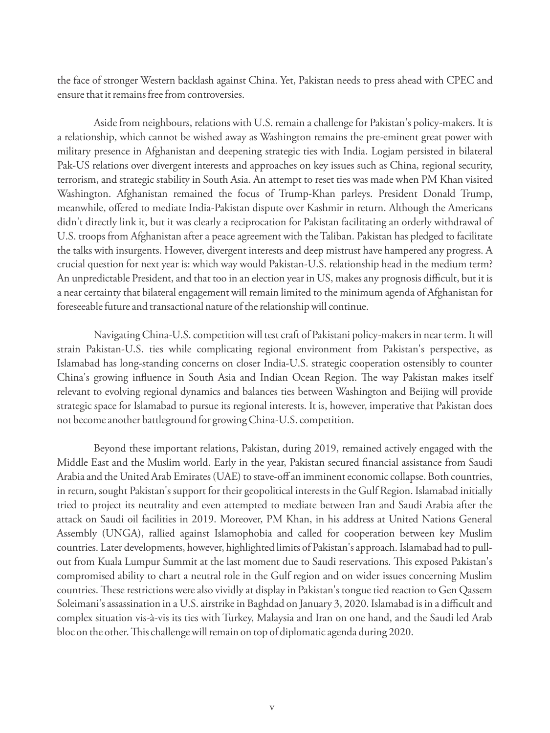the face of stronger Western backlash against China. Yet, Pakistan needs to press ahead with CPEC and ensure that it remains free from controversies.

Aside from neighbours, relations with U.S. remain a challenge for Pakistan's policy-makers. It is a relationship, which cannot be wished away as Washington remains the pre-eminent great power with military presence in Afghanistan and deepening strategic ties with India. Logjam persisted in bilateral Pak-US relations over divergent interests and approaches on key issues such as China, regional security, terrorism, and strategic stability in South Asia. An attempt to reset ties was made when PM Khan visited Washington. Afghanistan remained the focus of Trump-Khan parleys. President Donald Trump, meanwhile, offered to mediate India-Pakistan dispute over Kashmir in return. Although the Americans didn't directly link it, but it was clearly a reciprocation for Pakistan facilitating an orderly withdrawal of U.S. troops from Afghanistan after a peace agreement with the Taliban. Pakistan has pledged to facilitate the talks with insurgents. However, divergent interests and deep mistrust have hampered any progress. A crucial question for next year is: which way would Pakistan-U.S. relationship head in the medium term? An unpredictable President, and that too in an election year in US, makes any prognosis difficult, but it is a near certainty that bilateral engagement will remain limited to the minimum agenda of Afghanistan for foreseeable future and transactional nature of the relationship will continue.

Navigating China-U.S. competition will test craft of Pakistani policy-makers in near term. It will strain Pakistan-U.S. ties while complicating regional environment from Pakistan's perspective, as Islamabad has long-standing concerns on closer India-U.S. strategic cooperation ostensibly to counter China's growing influence in South Asia and Indian Ocean Region. The way Pakistan makes itself relevant to evolving regional dynamics and balances ties between Washington and Beijing will provide strategic space for Islamabad to pursue its regional interests. It is, however, imperative that Pakistan does not become another battleground for growing China-U.S. competition.

Beyond these important relations, Pakistan, during 2019, remained actively engaged with the Middle East and the Muslim world. Early in the year, Pakistan secured financial assistance from Saudi Arabia and the United Arab Emirates (UAE) to stave-off an imminent economic collapse. Both countries, in return, sought Pakistan's support for their geopolitical interests in the Gulf Region. Islamabad initially tried to project its neutrality and even attempted to mediate between Iran and Saudi Arabia after the attack on Saudi oil facilities in 2019. Moreover, PM Khan, in his address at United Nations General Assembly (UNGA), rallied against Islamophobia and called for cooperation between key Muslim countries. Later developments, however, highlighted limits of Pakistan's approach. Islamabad had to pullout from Kuala Lumpur Summit at the last moment due to Saudi reservations. This exposed Pakistan's compromised ability to chart a neutral role in the Gulf region and on wider issues concerning Muslim countries. These restrictions were also vividly at display in Pakistan's tongue tied reaction to Gen Qassem Soleimani's assassination in a U.S. airstrike in Baghdad on January 3, 2020. Islamabad is in a difficult and complex situation vis-à-vis its ties with Turkey, Malaysia and Iran on one hand, and the Saudi led Arab bloc on the other. This challenge will remain on top of diplomatic agenda during 2020.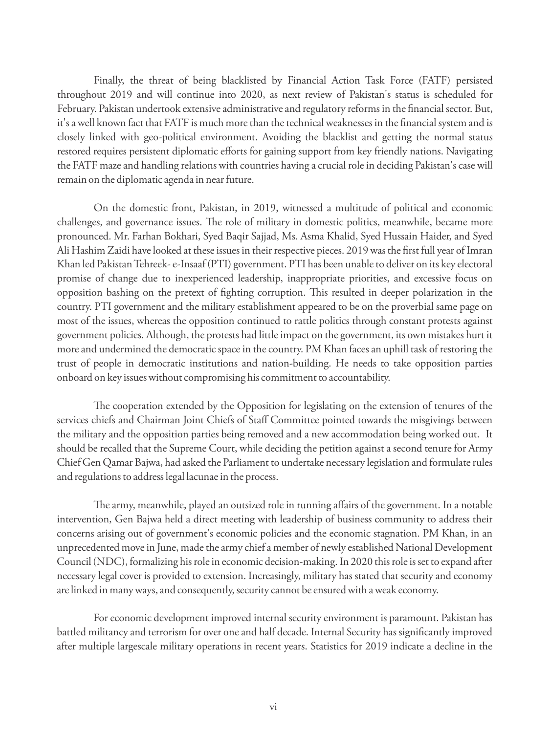Finally, the threat of being blacklisted by Financial Action Task Force (FATF) persisted throughout 2019 and will continue into 2020, as next review of Pakistan's status is scheduled for February. Pakistan undertook extensive administrative and regulatory reforms in the financial sector. But, it's a well known fact that FATF is much more than the technical weaknesses in the financial system and is closely linked with geo-political environment. Avoiding the blacklist and getting the normal status restored requires persistent diplomatic efforts for gaining support from key friendly nations. Navigating the FATF maze and handling relations with countries having a crucial role in deciding Pakistan's case will remain on the diplomatic agenda in near future.

On the domestic front, Pakistan, in 2019, witnessed a multitude of political and economic challenges, and governance issues. The role of military in domestic politics, meanwhile, became more pronounced. Mr. Farhan Bokhari, Syed Baqir Sajjad, Ms. Asma Khalid, Syed Hussain Haider, and Syed Ali Hashim Zaidi have looked at these issues in their respective pieces. 2019 was the first full year of Imran Khan led Pakistan Tehreek- e-Insaaf (PTI) government. PTI has been unable to deliver on its key electoral promise of change due to inexperienced leadership, inappropriate priorities, and excessive focus on opposition bashing on the pretext of ghting corruption. is resulted in deeper polarization in the country. PTI government and the military establishment appeared to be on the proverbial same page on most of the issues, whereas the opposition continued to rattle politics through constant protests against government policies. Although, the protests had little impact on the government, its own mistakes hurt it more and undermined the democratic space in the country. PM Khan faces an uphill task of restoring the trust of people in democratic institutions and nation-building. He needs to take opposition parties onboard on key issues without compromising his commitment to accountability.

The cooperation extended by the Opposition for legislating on the extension of tenures of the services chiefs and Chairman Joint Chiefs of Staff Committee pointed towards the misgivings between the military and the opposition parties being removed and a new accommodation being worked out. It should be recalled that the Supreme Court, while deciding the petition against a second tenure for Army Chief Gen Qamar Bajwa, had asked the Parliament to undertake necessary legislation and formulate rules and regulations to address legal lacunae in the process.

The army, meanwhile, played an outsized role in running affairs of the government. In a notable intervention, Gen Bajwa held a direct meeting with leadership of business community to address their concerns arising out of government's economic policies and the economic stagnation. PM Khan, in an unprecedented move in June, made the army chief a member of newly established National Development Council (NDC), formalizing his role in economic decision-making. In 2020 this role is set to expand after necessary legal cover is provided to extension. Increasingly, military has stated that security and economy are linked in many ways, and consequently, security cannot be ensured with a weak economy.

For economic development improved internal security environment is paramount. Pakistan has battled militancy and terrorism for over one and half decade. Internal Security has significantly improved after multiple largescale military operations in recent years. Statistics for 2019 indicate a decline in the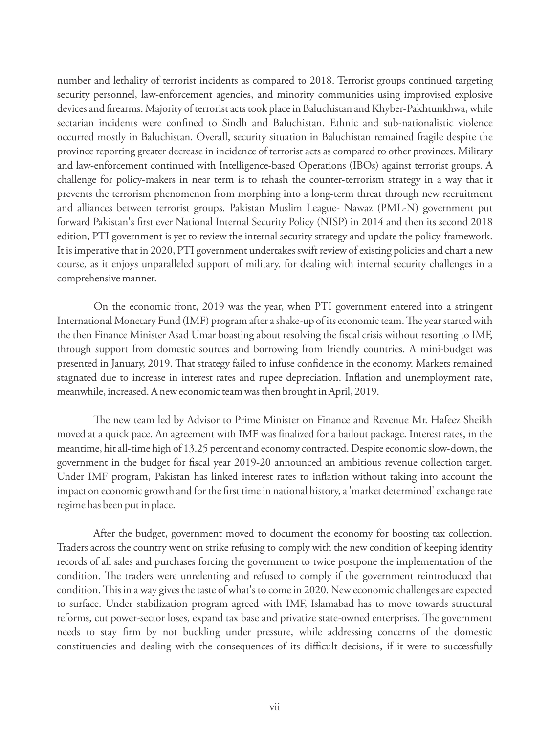number and lethality of terrorist incidents as compared to 2018. Terrorist groups continued targeting security personnel, law-enforcement agencies, and minority communities using improvised explosive devices and firearms. Majority of terrorist acts took place in Baluchistan and Khyber-Pakhtunkhwa, while sectarian incidents were confined to Sindh and Baluchistan. Ethnic and sub-nationalistic violence occurred mostly in Baluchistan. Overall, security situation in Baluchistan remained fragile despite the province reporting greater decrease in incidence of terrorist acts as compared to other provinces. Military and law-enforcement continued with Intelligence-based Operations (IBOs) against terrorist groups. A challenge for policy-makers in near term is to rehash the counter-terrorism strategy in a way that it prevents the terrorism phenomenon from morphing into a long-term threat through new recruitment and alliances between terrorist groups. Pakistan Muslim League- Nawaz (PML-N) government put forward Pakistan's first ever National Internal Security Policy (NISP) in 2014 and then its second 2018 edition, PTI government is yet to review the internal security strategy and update the policy-framework. It is imperative that in 2020, PTI government undertakes swift review of existing policies and chart a new course, as it enjoys unparalleled support of military, for dealing with internal security challenges in a comprehensive manner.

On the economic front, 2019 was the year, when PTI government entered into a stringent International Monetary Fund (IMF) program after a shake-up of its economic team. The year started with the then Finance Minister Asad Umar boasting about resolving the fiscal crisis without resorting to IMF, through support from domestic sources and borrowing from friendly countries. A mini-budget was presented in January, 2019. That strategy failed to infuse confidence in the economy. Markets remained stagnated due to increase in interest rates and rupee depreciation. Inflation and unemployment rate, meanwhile, increased. A new economic team was then brought in April, 2019.

The new team led by Advisor to Prime Minister on Finance and Revenue Mr. Hafeez Sheikh moved at a quick pace. An agreement with IMF was finalized for a bailout package. Interest rates, in the meantime, hit all-time high of 13.25 percent and economy contracted. Despite economic slow-down, the government in the budget for fiscal year 2019-20 announced an ambitious revenue collection target. Under IMF program, Pakistan has linked interest rates to inflation without taking into account the impact on economic growth and for the first time in national history, a 'market determined' exchange rate regime has been put in place.

After the budget, government moved to document the economy for boosting tax collection. Traders across the country went on strike refusing to comply with the new condition of keeping identity records of all sales and purchases forcing the government to twice postpone the implementation of the condition. The traders were unrelenting and refused to comply if the government reintroduced that condition. This in a way gives the taste of what's to come in 2020. New economic challenges are expected to surface. Under stabilization program agreed with IMF, Islamabad has to move towards structural reforms, cut power-sector loses, expand tax base and privatize state-owned enterprises. The government needs to stay firm by not buckling under pressure, while addressing concerns of the domestic constituencies and dealing with the consequences of its difficult decisions, if it were to successfully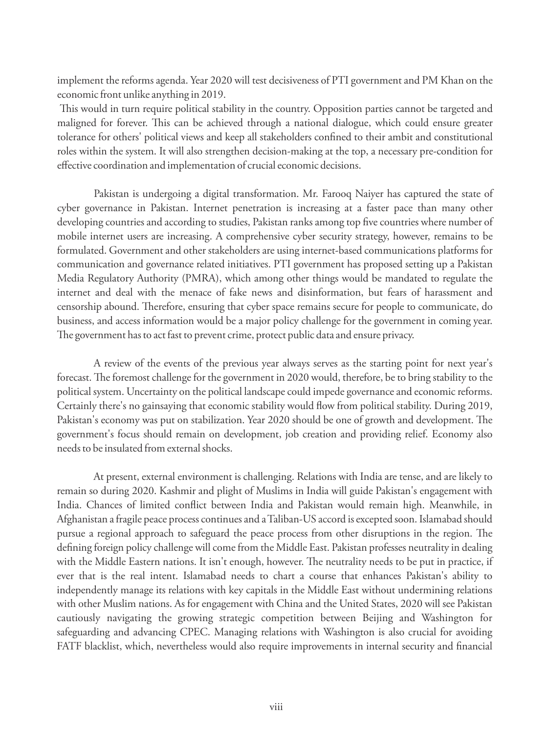implement the reforms agenda. Year 2020 will test decisiveness of PTI government and PM Khan on the economic front unlike anything in 2019.

This would in turn require political stability in the country. Opposition parties cannot be targeted and maligned for forever. This can be achieved through a national dialogue, which could ensure greater tolerance for others' political views and keep all stakeholders confined to their ambit and constitutional roles within the system. It will also strengthen decision-making at the top, a necessary pre-condition for effective coordination and implementation of crucial economic decisions.

Pakistan is undergoing a digital transformation. Mr. Farooq Naiyer has captured the state of cyber governance in Pakistan. Internet penetration is increasing at a faster pace than many other developing countries and according to studies, Pakistan ranks among top five countries where number of mobile internet users are increasing. A comprehensive cyber security strategy, however, remains to be formulated. Government and other stakeholders are using internet-based communications platforms for communication and governance related initiatives. PTI government has proposed setting up a Pakistan Media Regulatory Authority (PMRA), which among other things would be mandated to regulate the internet and deal with the menace of fake news and disinformation, but fears of harassment and censorship abound. Therefore, ensuring that cyber space remains secure for people to communicate, do business, and access information would be a major policy challenge for the government in coming year. The government has to act fast to prevent crime, protect public data and ensure privacy.

A review of the events of the previous year always serves as the starting point for next year's forecast. The foremost challenge for the government in 2020 would, therefore, be to bring stability to the political system. Uncertainty on the political landscape could impede governance and economic reforms. Certainly there's no gainsaying that economic stability would flow from political stability. During 2019, Pakistan's economy was put on stabilization. Year 2020 should be one of growth and development. The government's focus should remain on development, job creation and providing relief. Economy also needs to be insulated from external shocks.

At present, external environment is challenging. Relations with India are tense, and are likely to remain so during 2020. Kashmir and plight of Muslims in India will guide Pakistan's engagement with India. Chances of limited conflict between India and Pakistan would remain high. Meanwhile, in Afghanistan a fragile peace process continues and a Taliban-US accord is excepted soon. Islamabad should pursue a regional approach to safeguard the peace process from other disruptions in the region. The defining foreign policy challenge will come from the Middle East. Pakistan professes neutrality in dealing with the Middle Eastern nations. It isn't enough, however. The neutrality needs to be put in practice, if ever that is the real intent. Islamabad needs to chart a course that enhances Pakistan's ability to independently manage its relations with key capitals in the Middle East without undermining relations with other Muslim nations. As for engagement with China and the United States, 2020 will see Pakistan cautiously navigating the growing strategic competition between Beijing and Washington for safeguarding and advancing CPEC. Managing relations with Washington is also crucial for avoiding FATF blacklist, which, nevertheless would also require improvements in internal security and financial